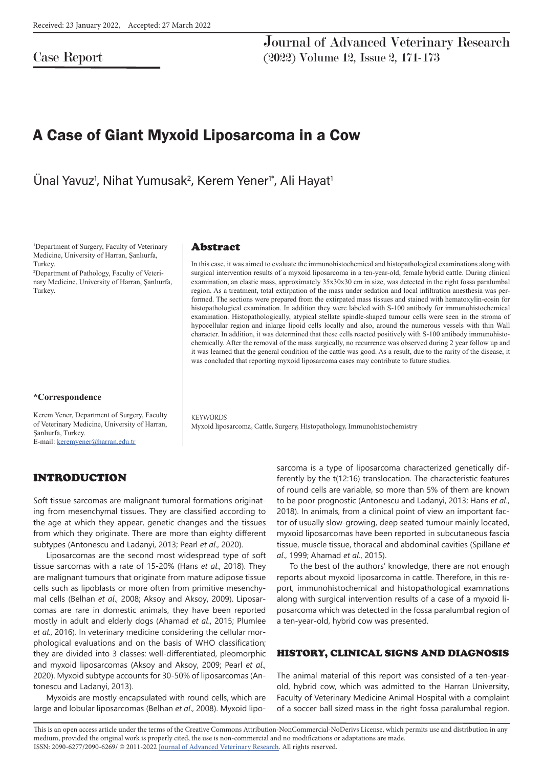Case Report

Journal of Advanced Veterinary Research (2022) Volume 12, Issue 2, 171-173

# A Case of Giant Myxoid Liposarcoma in a Cow

Ünal Yavuz<sup>1</sup>, Nihat Yumusak<sup>2</sup>, Kerem Yener<sup>1\*</sup>, Ali Hayat<sup>1</sup>

1 Department of Surgery, Faculty of Veterinary Medicine, University of Harran, Şanlıurfa, Turkey.

2 Department of Pathology, Faculty of Veterinary Medicine, University of Harran, Şanlıurfa, Turkey.

#### **\*Correspondence**

Kerem Yener, Department of Surgery, Faculty of Veterinary Medicine, University of Harran, Şanlıurfa, Turkey. E-mail: keremyener@harran.edu.tr

## INTRODUCTION

#### Abstract

In this case, it was aimed to evaluate the immunohistochemical and histopathological examinations along with surgical intervention results of a myxoid liposarcoma in a ten-year-old, female hybrid cattle. During clinical examination, an elastic mass, approximately 35x30x30 cm in size, was detected in the right fossa paralumbal region. As a treatment, total extirpation of the mass under sedation and local infiltration anesthesia was performed. The sections were prepared from the extirpated mass tissues and stained with hematoxylin-eosin for histopathological examination. In addition they were labeled with S-100 antibody for immunohistochemical examination. Histopathologically, atypical stellate spindle-shaped tumour cells were seen in the stroma of hypocellular region and inlarge lipoid cells locally and also, around the numerous vessels with thin Wall character. In addition, it was determined that these cells reacted positively with S-100 antibody immunohistochemically. After the removal of the mass surgically, no recurrence was observed during 2 year follow up and it was learned that the general condition of the cattle was good. As a result, due to the rarity of the disease, it was concluded that reporting myxoid liposarcoma cases may contribute to future studies.

**KEYWORDS** Myxoid liposarcoma, Cattle, Surgery, Histopathology, Immunohistochemistry

Soft tissue sarcomas are malignant tumoral formations originating from mesenchymal tissues. They are classified according to the age at which they appear, genetic changes and the tissues from which they originate. There are more than eighty different subtypes (Antonescu and Ladanyi, 2013; Pearl *et al*., 2020).

Liposarcomas are the second most widespread type of soft tissue sarcomas with a rate of 15-20% (Hans *et al*., 2018). They are malignant tumours that originate from mature adipose tissue cells such as lipoblasts or more often from primitive mesenchymal cells (Belhan *et al*., 2008; Aksoy and Aksoy, 2009). Liposarcomas are rare in domestic animals, they have been reported mostly in adult and elderly dogs (Ahamad *et al*., 2015; Plumlee *et al*., 2016). In veterinary medicine considering the cellular morphological evaluations and on the basis of WHO classification; they are divided into 3 classes: well-differentiated, pleomorphic and myxoid liposarcomas (Aksoy and Aksoy, 2009; Pearl *et al*., 2020). Myxoid subtype accounts for 30-50% of liposarcomas (Antonescu and Ladanyi, 2013).

Myxoids are mostly encapsulated with round cells, which are large and lobular liposarcomas (Belhan *et al*., 2008). Myxoid liposarcoma is a type of liposarcoma characterized genetically differently by the t(12:16) translocation. The characteristic features of round cells are variable, so more than 5% of them are known to be poor prognostic (Antonescu and Ladanyi, 2013; Hans *et al*., 2018). In animals, from a clinical point of view an important factor of usually slow-growing, deep seated tumour mainly located, myxoid liposarcomas have been reported in subcutaneous fascia tissue, muscle tissue, thoracal and abdominal cavities (Spillane *et al*., 1999; Ahamad *et al*., 2015).

To the best of the authors' knowledge, there are not enough reports about myxoid liposarcoma in cattle. Therefore, in this report, immunohistochemical and histopathological examnations along with surgical intervention results of a case of a myxoid liposarcoma which was detected in the fossa paralumbal region of a ten-year-old, hybrid cow was presented.

#### HISTORY, CLINICAL SIGNS AND DIAGNOSIS

The animal material of this report was consisted of a ten-yearold, hybrid cow, which was admitted to the Harran University, Faculty of Veterinary Medicine Animal Hospital with a complaint of a soccer ball sized mass in the right fossa paralumbal region.

This is an open access article under the terms of the Creative Commons Attribution-NonCommercial-NoDerivs License, which permits use and distribution in any medium, provided the original work is properly cited, the use is non-commercial and no modifications or adaptations are made. ISSN: 2090-6277/2090-6269/ © 2011-2022 Journal of Advanced Veterinary Research. All rights reserved.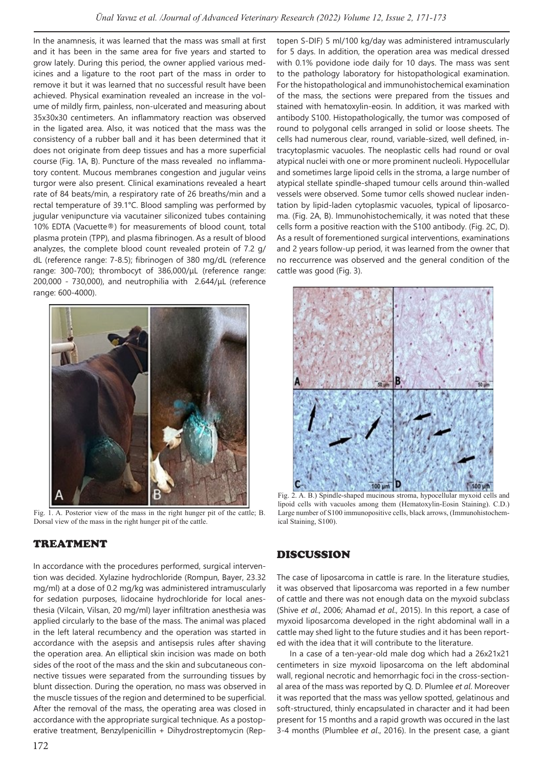In the anamnesis, it was learned that the mass was small at first and it has been in the same area for five years and started to grow lately. During this period, the owner applied various medicines and a ligature to the root part of the mass in order to remove it but it was learned that no successful result have been achieved. Physical examination revealed an increase in the volume of mildly firm, painless, non-ulcerated and measuring about 35x30x30 centimeters. An inflammatory reaction was observed in the ligated area. Also, it was noticed that the mass was the consistency of a rubber ball and it has been determined that it does not originate from deep tissues and has a more superficial course (Fig. 1A, B). Puncture of the mass revealed no inflammatory content. Mucous membranes congestion and jugular veins turgor were also present. Clinical examinations revealed a heart rate of 84 beats/min, a respiratory rate of 26 breaths/min and a rectal temperature of 39.1°C. Blood sampling was performed by jugular venipuncture via vacutainer siliconized tubes containing 10% EDTA (Vacuette®) for measurements of blood count, total plasma protein (TPP), and plasma fibrinogen. As a result of blood analyzes, the complete blood count revealed protein of 7.2 g/ dL (reference range: 7-8.5); fibrinogen of 380 mg/dL (reference range: 300-700); thrombocyt of 386,000/μL (reference range: 200,000 - 730,000), and neutrophilia with 2.644/μL (reference range: 600-4000).



Fig. 1. A. Posterior view of the mass in the right hunger pit of the cattle; B. Dorsal view of the mass in the right hunger pit of the cattle.

## TREATMENT

In accordance with the procedures performed, surgical intervention was decided. Xylazine hydrochloride (Rompun, Bayer, 23.32 mg/ml) at a dose of 0.2 mg/kg was administered intramuscularly for sedation purposes, lidocaine hydrochloride for local anesthesia (Vilcain, Vilsan, 20 mg/ml) layer infiltration anesthesia was applied circularly to the base of the mass. The animal was placed in the left lateral recumbency and the operation was started in accordance with the asepsis and antisepsis rules after shaving the operation area. An elliptical skin incision was made on both sides of the root of the mass and the skin and subcutaneous connective tissues were separated from the surrounding tissues by blunt dissection. During the operation, no mass was observed in the muscle tissues of the region and determined to be superficial. After the removal of the mass, the operating area was closed in accordance with the appropriate surgical technique. As a postoperative treatment, Benzylpenicillin + Dihydrostreptomycin (Reptopen S-DIF) 5 ml/100 kg/day was administered intramuscularly for 5 days. In addition, the operation area was medical dressed with 0.1% povidone iode daily for 10 days. The mass was sent to the pathology laboratory for histopathological examination. For the histopathological and immunohistochemical examination of the mass, the sections were prepared from the tissues and stained with hematoxylin-eosin. In addition, it was marked with antibody S100. Histopathologically, the tumor was composed of round to polygonal cells arranged in solid or loose sheets. The cells had numerous clear, round, variable-sized, well defined, intracytoplasmic vacuoles. The neoplastic cells had round or oval atypical nuclei with one or more prominent nucleoli. Hypocellular and sometimes large lipoid cells in the stroma, a large number of atypical stellate spindle-shaped tumour cells around thin-walled vessels were observed. Some tumor cells showed nuclear indentation by lipid-laden cytoplasmic vacuoles, typical of liposarcoma. (Fig. 2A, B). Immunohistochemically, it was noted that these cells form a positive reaction with the S100 antibody. (Fig. 2C, D). As a result of forementioned surgical interventions, examinations and 2 years follow-up period, it was learned from the owner that no reccurrence was observed and the general condition of the cattle was good (Fig. 3).



Fig. 2. A. B.) Spindle-shaped mucinous stroma, hypocellular myxoid cells and lipoid cells with vacuoles among them (Hematoxylin-Eosin Staining). C.D.) Large number of S100 immunopositive cells, black arrows, (Immunohistochemical Staining, S100).

#### DISCUSSION

The case of liposarcoma in cattle is rare. In the literature studies, it was observed that liposarcoma was reported in a few number of cattle and there was not enough data on the myxoid subclass (Shive *et al*., 2006; Ahamad *et al*., 2015). In this report, a case of myxoid liposarcoma developed in the right abdominal wall in a cattle may shed light to the future studies and it has been reported with the idea that it will contribute to the literature.

In a case of a ten-year-old male dog which had a 26x21x21 centimeters in size myxoid liposarcoma on the left abdominal wall, regional necrotic and hemorrhagic foci in the cross-sectional area of the mass was reported by Q. D. Plumlee *et al*. Moreover it was reported that the mass was yellow spotted, gelatinous and soft-structured, thinly encapsulated in character and it had been present for 15 months and a rapid growth was occured in the last 3-4 months (Plumblee *et al*., 2016). In the present case, a giant